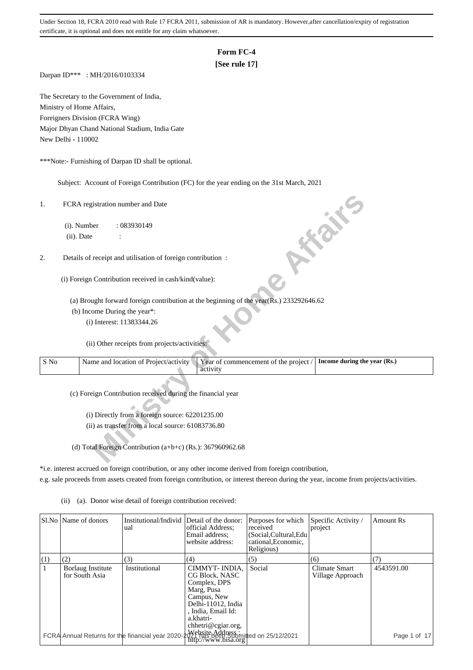# **Form FC-4**

## **[See rule 17]**

Darpan ID\*\*\* : MH/2016/0103334

The Secretary to the Government of India, Ministry of Home Affairs, Foreigners Division (FCRA Wing) Major Dhyan Chand National Stadium, India Gate New Delhi - 110002

\*\*\*Note:- Furnishing of Darpan ID shall be optional.

Subject: Account of Foreign Contribution (FC) for the year ending on the 31st March, 2021

| 1.             | FCRA registration number and Date                                                                                          |  |
|----------------|----------------------------------------------------------------------------------------------------------------------------|--|
|                | (i). Number<br>: 083930149                                                                                                 |  |
|                | <b>FORE</b><br>(ii). Date                                                                                                  |  |
| 2.             | Details of receipt and utilisation of foreign contribution :                                                               |  |
|                | (i) Foreign Contribution received in cash/kind(value):                                                                     |  |
|                | (a) Brought forward foreign contribution at the beginning of the year( $\overline{R}$ s.) 233292646.62                     |  |
|                | (b) Income During the year*:                                                                                               |  |
|                | (i) Interest: 11383344.26                                                                                                  |  |
|                | (ii) Other receipts from projects/activities:                                                                              |  |
| $\mathbf S$ No | Year of commencement of the project /<br>Name and location of Project/activity<br>Income during the year (Rs.)<br>activity |  |
|                | (c) Foreign Contribution received during the financial year                                                                |  |
|                | (i) Directly from a foreign source: 62201235.00                                                                            |  |
|                | (ii) as transfer from a local source: 61083736.80                                                                          |  |
|                |                                                                                                                            |  |
|                | (d) Total Foreign Contribution $(a+b+c)$ (Rs.): 367960962.68                                                               |  |

\*i.e. interest accrued on foreign contribution, or any other income derived from foreign contribution, e.g. sale proceeds from assets created from foreign contribution, or interest thereon during the year, income from projects/activities.

(ii) (a). Donor wise detail of foreign contribution received:

|              | SI.No   Name of donors              | Institutional/Individ Detail of the donor:<br>ual | official Address:<br>Email address;<br>website address:                                                                                                     | Purposes for which<br>received<br>(Social, Cultural, Edu<br>cational, Economic,<br>Religious) | Specific Activity /<br>project    | Amount Rs       |
|--------------|-------------------------------------|---------------------------------------------------|-------------------------------------------------------------------------------------------------------------------------------------------------------------|-----------------------------------------------------------------------------------------------|-----------------------------------|-----------------|
| (1)          | (2)                                 | (3)                                               | (4)                                                                                                                                                         | (5)                                                                                           | (6)                               | (7)             |
| $\mathbf{1}$ | Borlaug Institute<br>for South Asia | Institutional                                     | CIMMYT-INDIA,<br>CG Block, NASC<br>Complex, DPS<br>Marg, Pusa<br>Campus, New<br>Delhi-11012, India<br>, India, Email Id:<br>a.khatri-<br>chhetri@cgiar.org, | Social                                                                                        | Climate Smart<br>Village Approach | 4543591.00      |
|              |                                     |                                                   | FCRA Annual Returns for the financial year 2020- $\frac{1}{2}$ Website Addressionitied on 25/12/2021                                                        |                                                                                               |                                   | of 17<br>Page 1 |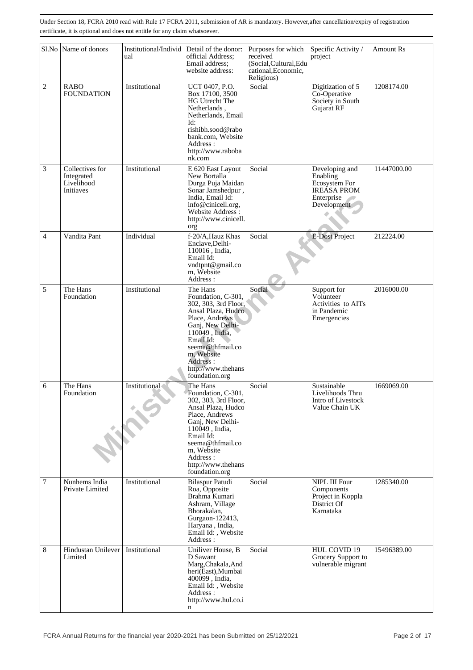|                  | Sl.No Name of donors                                     | Institutional/Individ<br>ual | Detail of the donor:<br>official Address;<br>Email address:<br>website address:                                                                                                                                                         | Purposes for which<br>received<br>(Social, Cultural, Edu<br>cational, Economic,<br>Religious) | Specific Activity /<br>project                                                                 | <b>Amount Rs</b> |
|------------------|----------------------------------------------------------|------------------------------|-----------------------------------------------------------------------------------------------------------------------------------------------------------------------------------------------------------------------------------------|-----------------------------------------------------------------------------------------------|------------------------------------------------------------------------------------------------|------------------|
| $\overline{c}$   | <b>RABO</b><br><b>FOUNDATION</b>                         | Institutional                | UCT 0407, P.O.<br>Box 17100, 3500<br>HG Utrecht The<br>Netherlands,<br>Netherlands, Email<br>Id:<br>rishibh.sood@rabo<br>bank.com. Website<br>Address :<br>http://www.raboba<br>nk.com                                                  | Social                                                                                        | Digitization of 5<br>Co-Operative<br>Society in South<br>Gujarat RF                            | 1208174.00       |
| 3                | Collectives for<br>Integrated<br>Livelihood<br>Initiaves | Institutional                | E 620 East Layout<br>New Bortalla<br>Durga Puja Maidan<br>Sonar Jamshedpur,<br>India, Email Id:<br>info@cinicell.org,<br>Website Address:<br>http://www.cinicell.<br>org                                                                | Social                                                                                        | Developing and<br>Enabling<br>Ecosystem For<br><b>IREASA PROM</b><br>Enterprise<br>Development | 11447000.00      |
| 4                | Vandita Pant                                             | Individual                   | f-20/A, Hauz Khas<br>Enclave, Delhi-<br>110016, India,<br>Email Id:<br>vndtpnt@gmail.co<br>m, Website<br>Address:                                                                                                                       | Social                                                                                        | <b>E-Dost Project</b>                                                                          | 212224.00        |
| 5                | The Hans<br>Foundation                                   | Institutional                | The Hans<br>Foundation, C-301,<br>302, 303, 3rd Floor,<br>Ansal Plaza, Hudco<br>Place, Andrews<br>Ganj, New Delhi-<br>110049, India,<br>Email Id:<br>seema@thfmail.co<br>m. Website<br>Address:<br>http://www.thehans<br>foundation.org | Social                                                                                        | Support for<br>Volunteer<br>Activities to AITs<br>in Pandemic<br>Emergencies                   | 2016000.00       |
| 6                | The Hans<br>Foundation                                   | Institutional                | The Hans<br>Foundation, C-301,<br>302, 303, 3rd Floor,<br>Ansal Plaza, Hudco<br>Place, Andrews<br>Ganj, New Delhi-<br>110049, India,<br>Email Id:<br>seema@thfmail.co<br>m, Website<br>Address:<br>http://www.thehans<br>foundation.org | Social                                                                                        | Sustainable<br>Livelihoods Thru<br>Intro of Livestock<br>Value Chain UK                        | 1669069.00       |
| $\boldsymbol{7}$ | Nunhems India<br>Private Limited                         | Institutional                | <b>Bilaspur Patudi</b><br>Roa, Opposite<br>Brahma Kumari<br>Ashram, Village<br>Bhorakalan,<br>Gurgaon-122413,<br>Haryana, India,<br>Email Id:, Website<br>Address:                                                                      | Social                                                                                        | NIPL III Four<br>Components<br>Project in Koppla<br>District Of<br>Karnataka                   | 1285340.00       |
| 8                | Hindustan Unilever<br>Limited                            | Institutional                | Uniliver House, B<br>D Sawant<br>Marg, Chakala, And<br>heri(East), Mumbai<br>400099, India,<br>Email Id:, Website<br>Address :<br>http://www.hul.co.i<br>n                                                                              | Social                                                                                        | HUL COVID 19<br>Grocery Support to<br>vulnerable migrant                                       | 15496389.00      |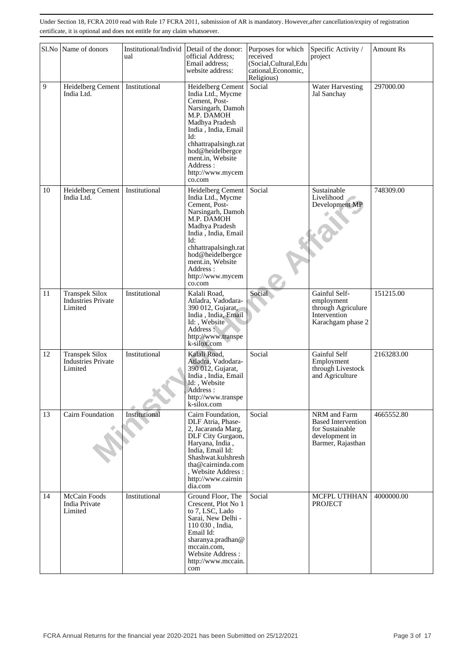|    | Sl.No Name of donors                                          | Institutional/Individ<br>ual | Detail of the donor:<br>official Address;<br>Email address;<br>website address:                                                                                                                                                                       | Purposes for which<br>received<br>(Social, Cultural, Edu<br>cational, Economic,<br>Religious) | Specific Activity /<br>project                                                                      | <b>Amount Rs</b> |
|----|---------------------------------------------------------------|------------------------------|-------------------------------------------------------------------------------------------------------------------------------------------------------------------------------------------------------------------------------------------------------|-----------------------------------------------------------------------------------------------|-----------------------------------------------------------------------------------------------------|------------------|
| 9  | Heidelberg Cement<br>India Ltd.                               | Institutional                | Heidelberg Cement<br>India Ltd., Mycme<br>Cement, Post-<br>Narsingarh, Damoh<br>M.P. DAMOH<br>Madhya Pradesh<br>India, India, Email<br>Id:<br>chhattrapalsingh.rat<br>hod@heidelbergce<br>ment.in, Website<br>Address :<br>http://www.mycem<br>co.com | Social                                                                                        | <b>Water Harvesting</b><br>Jal Sanchay                                                              | 297000.00        |
| 10 | Heidelberg Cement<br>India Ltd.                               | Institutional                | Heidelberg Cement<br>India Ltd., Mycme<br>Cement, Post-<br>Narsingarh, Damoh<br>M.P. DAMOH<br>Madhya Pradesh<br>India, India, Email<br>Id:<br>chhattrapalsingh.rat<br>hod@heidelbergce<br>ment.in, Website<br>Address:<br>http://www.mycem<br>co.com  | Social                                                                                        | Sustainable<br>Livelihood<br>Development MP                                                         | 748309.00        |
| 11 | <b>Transpek Silox</b><br><b>Industries Private</b><br>Limited | Institutional                | Kalali Road,<br>Atladra, Vadodara-<br>390 012, Gujarat,<br>India, India, Email<br>Id:, Website<br>Address:<br>http://www.transpe<br>k-silox.com                                                                                                       | Social                                                                                        | Gainful Self-<br>employment<br>through Agriculure<br>Intervention<br>Karachgam phase 2              | 151215.00        |
| 12 | <b>Transpek Silox</b><br><b>Industries Private</b><br>Limited | Institutional                | Kalali Road,<br>Atladra, Vadodara-<br>390 012, Gujarat,<br>India, India, Email<br>Id:, Website<br>Address :<br>http://www.transpe<br>k-silox.com                                                                                                      | Social                                                                                        | Gainful Self<br>Employment<br>through Livestock<br>and Agriculture                                  | 2163283.00       |
| 13 | Cairn Foundation                                              | Institutional                | Cairn Foundation,<br>DLF Atria, Phase-<br>2, Jacaranda Marg,<br>DLF City Gurgaon,<br>Haryana, India,<br>India, Email Id:<br>Shashwat.kulshresh<br>tha@cairninda.com<br>, Website Address :<br>http://www.cairnin<br>dia.com                           | Social                                                                                        | NRM and Farm<br><b>Based Intervention</b><br>for Sustainable<br>development in<br>Barmer, Rajasthan | 4665552.80       |
| 14 | McCain Foods<br>India Private<br>Limited                      | Institutional                | Ground Floor, The<br>Crescent, Plot No 1<br>to 7, LSC, Lado<br>Sarai, New Delhi -<br>110 030, India,<br>Email Id:<br>sharanya.pradhan@<br>mccain.com,<br>Website Address:<br>http://www.mccain.<br>com                                                | Social                                                                                        | <b>MCFPL UTHHAN</b><br><b>PROJECT</b>                                                               | 4000000.00       |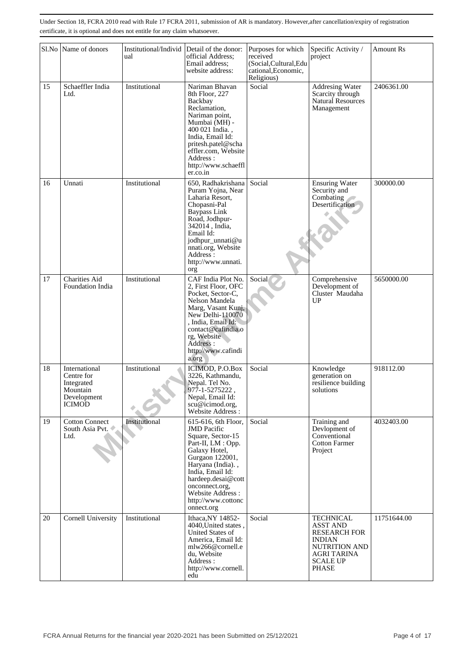|    | Sl.No Name of donors                                                                  | Institutional/Individ<br>ual | Detail of the donor:<br>official Address;<br>Email address:<br>website address:                                                                                                                                                                                   | Purposes for which<br>received<br>(Social, Cultural, Edu<br>cational, Economic,<br>Religious) | Specific Activity /<br>project                                                                                                                               | Amount Rs   |
|----|---------------------------------------------------------------------------------------|------------------------------|-------------------------------------------------------------------------------------------------------------------------------------------------------------------------------------------------------------------------------------------------------------------|-----------------------------------------------------------------------------------------------|--------------------------------------------------------------------------------------------------------------------------------------------------------------|-------------|
| 15 | Schaeffler India<br>Ltd.                                                              | Institutional                | Nariman Bhavan<br>8th Floor, 227<br>Backbay<br>Reclamation,<br>Nariman point,<br>Mumbai (MH) -<br>400 021 India.,<br>India, Email Id:<br>pritesh.patel@scha<br>effler.com, Website<br>Address:<br>http://www.schaeffl<br>er.co.in                                 | Social                                                                                        | Addresing Water<br>Scarcity through<br>Natural Resources<br>Management                                                                                       | 2406361.00  |
| 16 | Unnati                                                                                | Institutional                | 650, Radhakrishana<br>Puram Yojna, Near<br>Laharia Resort,<br>Chopasni-Pal<br>Baypass Link<br>Road, Jodhpur-<br>342014, India,<br>Email Id:<br>jodhpur_unnati@u<br>nnati.org, Website<br>Address:<br>http://www.unnati.<br>org                                    | Social                                                                                        | <b>Ensuring Water</b><br>Security and<br>Combating<br>Desertification                                                                                        | 300000.00   |
| 17 | <b>Charities Aid</b><br>Foundation India                                              | Institutional                | CAF India Plot No.<br>2, First Floor, OFC<br>Pocket, Sector-C,<br>Nelson Mandela<br>Marg, Vasant Kunj,<br>New Delhi-110070<br>, India, Email Id:<br>contact@cafindia.o<br>rg, Website<br>Address:<br>http://www.cafindi<br>a.org                                  | Social                                                                                        | Comprehensive<br>Development of<br>Cluster Maudaha<br>UP                                                                                                     | 5650000.00  |
| 18 | International<br>Centre for<br>Integrated<br>Mountain<br>Development<br><b>ICIMOD</b> | Institutional                | ICIMOD, P.O.Box<br>3226, Kathmandu,<br>Nepal. Tel No.<br>977-1-5275222,<br>Nepal, Email Id:<br>scu@icimod.org,<br>Website Address:                                                                                                                                | Social                                                                                        | Knowledge<br>generation on<br>resilience building<br>solutions                                                                                               | 918112.00   |
| 19 | <b>Cotton Connect</b><br>South Asia Pvt.<br>Ltd.                                      | Institutional                | 615-616, 6th Floor,<br><b>JMD</b> Pacific<br>Square, Sector-15<br>Part-II, LM : Opp.<br>Galaxy Hotel,<br>Gurgaon 122001,<br>Haryana (India).,<br>India, Email Id:<br>hardeep.desai@cott<br>onconnect.org.<br>Website Address:<br>http://www.cottonc<br>onnect.org | Social                                                                                        | Training and<br>Devlopment of<br>Conventional<br><b>Cotton Farmer</b><br>Project                                                                             | 4032403.00  |
| 20 | Cornell University                                                                    | Institutional                | Ithaca, NY 14852-<br>4040, United states.<br>United States of<br>America, Email Id:<br>mlw266@cornell.e<br>du, Website<br>Address:<br>http://www.cornell.<br>edu                                                                                                  | Social                                                                                        | <b>TECHNICAL</b><br><b>ASST AND</b><br><b>RESEARCH FOR</b><br><b>INDIAN</b><br><b>NUTRITION AND</b><br><b>AGRI TARINA</b><br><b>SCALE UP</b><br><b>PHASE</b> | 11751644.00 |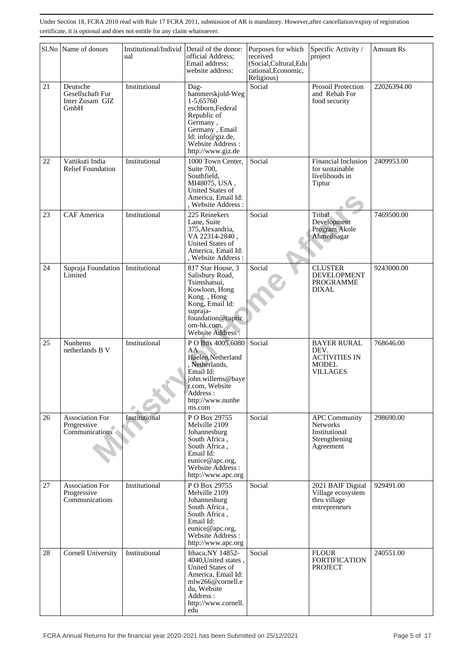| Sl.No | Name of donors                                          | Institutional/Individ<br>ual | Detail of the donor:<br>official Address;<br>Email address:<br>website address:                                                                                             | Purposes for which<br>received<br>(Social, Cultural, Edu<br>cational, Economic,<br>Religious) | Specific Activity /<br>project                                                         | <b>Amount Rs</b> |
|-------|---------------------------------------------------------|------------------------------|-----------------------------------------------------------------------------------------------------------------------------------------------------------------------------|-----------------------------------------------------------------------------------------------|----------------------------------------------------------------------------------------|------------------|
| 21    | Deutsche<br>Gesellschaft Fur<br>Inter Zusam GIZ<br>GmbH | Institutional                | Dag-<br>hammerskjold-Weg<br>1-5,65760<br>eschborn, Federal<br>Republic of<br>Germany,<br>Germany, Email<br>Id: info@giz.de,<br>Website Address:<br>http://www.giz.de        | Social                                                                                        | Prosoil Protection<br>and Rehab For<br>food security                                   | 22026394.00      |
| 22    | Vattikuti India<br><b>Relief Foundation</b>             | Institutional                | 1000 Town Center,<br>Suite 700,<br>Southfield,<br>MI48075, USA,<br>United States of<br>America, Email Id:<br>, Website Address :                                            | Social                                                                                        | <b>Financial Inclusion</b><br>for sustainable<br>livelihoods in<br>Tiptur              | 2409953.00       |
| 23    | <b>CAF</b> America                                      | Institutional                | 225 Reinekers<br>Lane, Suite<br>375, Alexandria,<br>VA 22314-2840,<br>United States of<br>America, Email Id:<br>. Website Address:                                          | Social                                                                                        | Tribal<br>Development<br>Program Akole<br>Ahmednagar                                   | 7469500.00       |
| 24    | Supraja Foundation<br>Limited                           | Institutional                | 817 Star House, 3<br>Salisbury Road,<br>Tsimshatsui,<br>Kowloon, Hong<br>Kong., Hong<br>Kong, Email Id:<br>supraja-<br>foundation@capric<br>orn-hk.com,<br>Website Address: | Social                                                                                        | <b>CLUSTER</b><br><b>DEVELOPMENT</b><br>PROGRAMME<br><b>DIXAL</b>                      | 9243000.00       |
| 25    | <b>Nunhems</b><br>netherlands B V                       | Institutional                | PO Box 4005,6080<br>AA<br>Haelen, Netherland<br>, Netherlands,<br>Email Id:<br>john.willems@baye<br>r.com, Website<br>Address :<br>http://www.nunhe<br>ms.com               | Social                                                                                        | <b>BAYER RURAL</b><br>DEV.<br><b>ACTIVITIES IN</b><br><b>MODEL</b><br><b>VILLAGES</b>  | 768646.00        |
| 26    | <b>Association For</b><br>Progressive<br>Communications | Institutional                | PO Box 29755<br>Melville 2109<br>Johannesburg<br>South Africa,<br>South Africa,<br>Email Id:<br>eunice@apc.org,<br>Website Address :<br>http://www.apc.org                  | Social                                                                                        | <b>APC Community</b><br><b>Networks</b><br>Institutional<br>Strengthening<br>Agreement | 298690.00        |
| 27    | <b>Association For</b><br>Progressive<br>Communications | Institutional                | P O Box 29755<br>Melville 2109<br>Johannesburg<br>South Africa,<br>South Africa,<br>Email Id:<br>eunice@apc.org,<br>Website Address:<br>http://www.apc.org                  | Social                                                                                        | 2021 BAIF Digital<br>Village ecosystem<br>thru village<br>entrepreneurs                | 929491.00        |
| 28    | <b>Cornell University</b>                               | Institutional                | Ithaca, NY 14852-<br>4040, United states,<br>United States of<br>America, Email Id:<br>mlw266@cornell.e<br>du. Website<br>Address :<br>http://www.cornell.<br>edu           | Social                                                                                        | <b>FLOUR</b><br><b>FORTIFICATION</b><br><b>PROJECT</b>                                 | 240551.00        |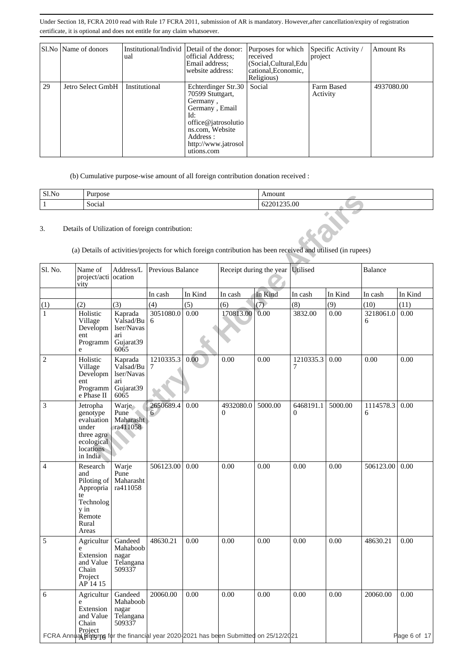|    | Sl.No   Name of donors | Institutional/Individ Detail of the donor:<br>ual | official Address;<br>Email address:<br>website address:                                                                                                                 | Purposes for which<br>received<br>(Social, Cultural, Edu<br>cational, Economic,<br>Religious) | Specific Activity /<br>project | Amount Rs  |
|----|------------------------|---------------------------------------------------|-------------------------------------------------------------------------------------------------------------------------------------------------------------------------|-----------------------------------------------------------------------------------------------|--------------------------------|------------|
| 29 | Jetro Select GmbH      | Institutional                                     | Echterdinger Str.30<br>70599 Stuttgart,<br>Germany,<br>Germany, Email<br>Id:<br>office@jatrosolutio<br>ns.com, Website<br>Address:<br>http://www.jatrosol<br>utions.com | Social                                                                                        | Farm Based<br>Activity         | 4937080.00 |

(b) Cumulative purpose-wise amount of all foreign contribution donation received :

| Sl.No | –<br>Purpose |             |
|-------|--------------|-------------|
|       | .<br>Social  | 62201235.00 |

| <b>DITIC</b>   | rurpose                                                                                                                                                         |                                                                |                  |         |                                  | Allioulit   |                |         |                |                      |
|----------------|-----------------------------------------------------------------------------------------------------------------------------------------------------------------|----------------------------------------------------------------|------------------|---------|----------------------------------|-------------|----------------|---------|----------------|----------------------|
| $\mathbf{1}$   | Social                                                                                                                                                          |                                                                |                  |         |                                  | 62201235.00 |                |         |                |                      |
| 3.             | Details of Utilization of foreign contribution:<br>(a) Details of activities/projects for which foreign contribution has been received and utilised (in rupees) |                                                                |                  |         |                                  |             |                |         |                |                      |
| Sl. No.        | Name of<br>project/acti ocation<br>vity                                                                                                                         | Address/L                                                      | Previous Balance |         | Receipt during the year Utilised |             |                |         | Balance        |                      |
|                |                                                                                                                                                                 |                                                                | In cash          | In Kind | In cash                          | In Kind     | In cash        | In Kind | In cash        | In Kind              |
| (1)            | (2)                                                                                                                                                             | (3)                                                            | (4)              | (5)     | (6)                              | (7)         | (8)            | (9)     | (10)           | (11)                 |
| $\mathbf{1}$   | Holistic<br>Village<br>Developm<br>ent<br>Programm<br>e                                                                                                         | Kaprada<br>Valsad/Bu<br>lser/Navas<br>ari<br>Gujarat39<br>6065 | 3051080.0<br>6   | 0.00    | 170813.00                        | 0.00        | 3832.00        | 0.00    | 3218061.0<br>6 | 0.00                 |
| $\overline{c}$ | Holistic<br>Village<br>Developm<br>ent<br>Programm<br>e Phase II                                                                                                | Kaprada<br>Valsad/Bu<br>lser/Navas<br>ari<br>Gujarat39<br>6065 | 1210335.3<br>7   | 0.00    | 0.00                             | 0.00        | 1210335.3<br>7 | 0.00    | 0.00           | 0.00                 |
| 3              | Jetropha<br>genotype<br>evaluation<br>under<br>three agro<br>ecological<br>locations<br>in India                                                                | Warje<br>Pune<br>Maharasht<br>ra411058                         | 2650689.4<br>6   | 0.00    | 4932080.0<br>$\overline{0}$      | 5000.00     | 6468191.1<br>0 | 5000.00 | 1114578.3<br>6 | 0.00                 |
| 4              | Research<br>and<br>Piloting of<br>Appropria<br>te<br>Technolog<br>y in<br>Remote<br>Rural<br>Areas                                                              | Warje<br>Pune<br>Maharasht<br>ra411058                         | 506123.00        | 0.00    | 0.00                             | 0.00        | 0.00           | 0.00    | 506123.00      | 0.00                 |
| 5              | Agricultur<br>e<br>Extension<br>and Value<br>Chain<br>Project<br>AP 14 15                                                                                       | Gandeed<br>Mahaboob<br>nagar<br>Telangana<br>509337            | 48630.21         | 0.00    | 0.00                             | 0.00        | 0.00           | 0.00    | 48630.21       | 0.00                 |
| 6              | Agricultur<br>e<br>Extension<br>and Value<br>Chain<br>Project<br>FCRA Annual Beturns for the financial year 2020 2021 has been Submitted on 25/12/2021          | Gandeed<br>Mahaboob<br>nagar<br>Telangana<br>509337            | 20060.00         | 0.00    | 0.00                             | 0.00        | 0.00           | 0.00    | 20060.00       | 0.00<br>Page 6 of 17 |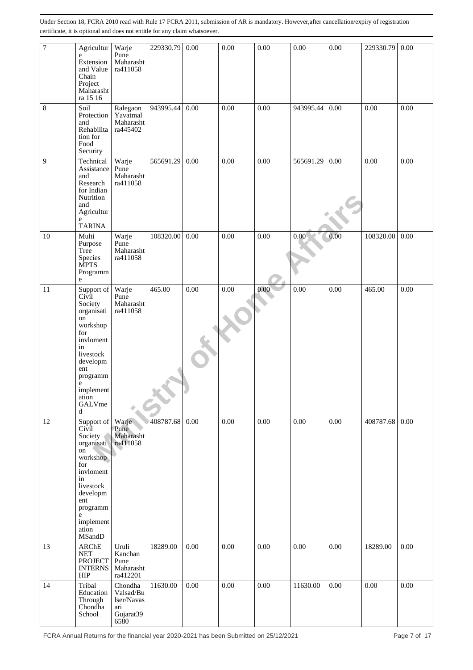| $\boldsymbol{7}$ | Agricultur<br>${\bf e}$<br>Extension<br>and Value<br>Chain<br>Project<br>Maharasht<br>ra 15 16                                                                                 | Warje<br>Pune<br>Maharasht<br>ra411058                         | 229330.79 | 0.00 | 0.00 | 0.00 | 0.00      | 0.00 | 229330.79 | 0.00 |
|------------------|--------------------------------------------------------------------------------------------------------------------------------------------------------------------------------|----------------------------------------------------------------|-----------|------|------|------|-----------|------|-----------|------|
| 8                | Soil<br>Protection<br>and<br>Rehabilita<br>tion for<br>Food<br>Security                                                                                                        | Ralegaon<br>Yavatmal<br>Maharasht<br>ra445402                  | 943995.44 | 0.00 | 0.00 | 0.00 | 943995.44 | 0.00 | 0.00      | 0.00 |
| 9                | Technical<br>Assistance<br>and<br>Research<br>for Indian<br>Nutrition<br>and<br>Agricultur<br>e<br><b>TARINA</b>                                                               | Warje<br>Pune<br>Maharasht<br>ra411058                         | 565691.29 | 0.00 | 0.00 | 0.00 | 565691.29 | 0.00 | 0.00      | 0.00 |
| 10               | Multi<br>Purpose<br>Tree<br>Species<br><b>MPTS</b><br>Programm<br>e                                                                                                            | Warje<br>Pune<br>Maharasht<br>ra411058                         | 108320.00 | 0.00 | 0.00 | 0.00 | 0.00      | 0.00 | 108320.00 | 0.00 |
| 11               | Support of<br>Civil<br>Society<br>organisati<br>on<br>workshop<br>for<br>invloment<br>in<br>livestock<br>developm<br>ent<br>programm<br>e<br>implement<br>ation<br>GALVme<br>d | Warje<br>Pune<br>Maharasht<br>ra411058                         | 465.00    | 0.00 | 0.00 | 0.00 | 0.00      | 0.00 | 465.00    | 0.00 |
| 12               | Support of<br>Civil<br>Society<br>organisati<br>on<br>workshop<br>for<br>invloment<br>in<br>livestock<br>developm<br>ent<br>programm<br>e<br>implement<br>ation<br>MSandD      | Warje<br>Pune<br>Maharasht<br>ra411058                         | 408787.68 | 0.00 | 0.00 | 0.00 | 0.00      | 0.00 | 408787.68 | 0.00 |
| 13               | ARChE<br><b>NET</b><br><b>PROJECT</b><br><b>INTERNS</b><br><b>HIP</b>                                                                                                          | Uruli<br>Kanchan<br>Pune<br>Maharasht<br>ra412201              | 18289.00  | 0.00 | 0.00 | 0.00 | 0.00      | 0.00 | 18289.00  | 0.00 |
| 14               | Tribal<br>Education<br>Through<br>Chondha<br>School                                                                                                                            | Chondha<br>Valsad/Bu<br>lser/Navas<br>ari<br>Gujarat39<br>6580 | 11630.00  | 0.00 | 0.00 | 0.00 | 11630.00  | 0.00 | 0.00      | 0.00 |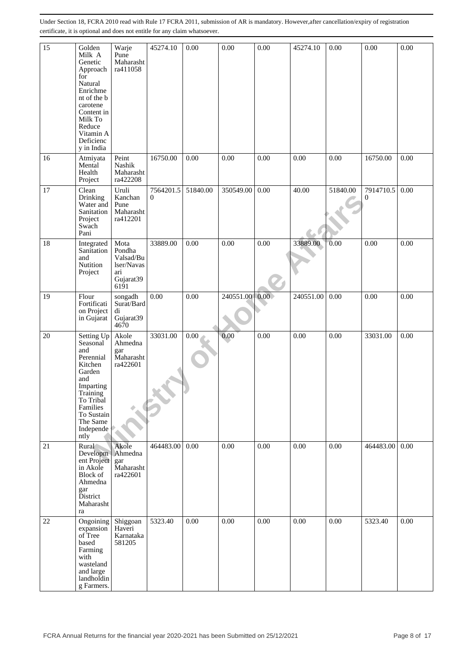| 15 | Golden<br>Milk A<br>Genetic                                                                                                                                             | Warje<br>Pune<br>Maharasht                                            | 45274.10              | 0.00     | 0.00      | 0.00          | 45274.10  | 0.00     | 0.00           | 0.00 |
|----|-------------------------------------------------------------------------------------------------------------------------------------------------------------------------|-----------------------------------------------------------------------|-----------------------|----------|-----------|---------------|-----------|----------|----------------|------|
|    | Approach<br>for<br>Natural<br>Enrichme<br>nt of the b<br>carotene<br>Content in<br>Milk To<br>Reduce<br>Vitamin A<br>Deficienc<br>y in India                            | ra411058                                                              |                       |          |           |               |           |          |                |      |
| 16 | Atmiyata<br>Mental<br>Health<br>Project                                                                                                                                 | Peint<br>Nashik<br>Maharasht<br>ra422208                              | 16750.00              | 0.00     | 0.00      | 0.00          | 0.00      | 0.00     | 16750.00       | 0.00 |
| 17 | Clean<br>Drinking<br>Water and<br>Sanitation<br>Project<br>Swach<br>Pani                                                                                                | Uruli<br>Kanchan<br>Pune<br>Maharasht<br>ra412201                     | 7564201.5<br>$\Omega$ | 51840.00 | 350549.00 | 0.00          | 40.00     | 51840.00 | 7914710.5<br>0 | 0.00 |
| 18 | Integrated<br>Sanitation<br>and<br>Nutition<br>Project                                                                                                                  | Mota<br>Pondha<br>Valsad/Bu<br>lser/Navas<br>ari<br>Gujarat39<br>6191 | 33889.00              | 0.00     | 0.00      | 0.00          | 33889.00  | 0.00     | 0.00           | 0.00 |
| 19 | Flour<br>Fortificati<br>on Project<br>in Gujarat                                                                                                                        | songadh<br>Surat/Bard<br>di<br>Gujarat39<br>4670                      | 0.00                  | 0.00     | 240551.00 | $0.00\degree$ | 240551.00 | 0.00     | 0.00           | 0.00 |
| 20 | Setting Up<br>Seasonal<br>and<br>Perennial<br>Kitchen<br>Garden<br>and<br>Imparting<br>Training<br>To Tribal<br>Families<br>To Sustain<br>The Same<br>Independe<br>ntly | Akole<br>Ahmedna<br>gar<br>Maharasht<br>ra422601                      | 33031.00              | 0.00     | 0.00      | 0.00          | 0.00      | 0.00     | 33031.00       | 0.00 |
| 21 | Rural<br>Developm Ahmedna<br>ent Project<br>in Akole<br>Block of<br>Ahmedna<br>gar<br>District<br>Maharasht<br>ra                                                       | Akole<br>gar<br>Maharasht<br>ra422601                                 | 464483.00             | 0.00     | 0.00      | 0.00          | 0.00      | 0.00     | 464483.00      | 0.00 |
| 22 | Ongoining<br>expansion<br>of Tree<br>based<br>Farming<br>with<br>wasteland<br>and large<br>landholdin<br>g Farmers.                                                     | Shiggoan<br>Haveri<br>Karnataka<br>581205                             | 5323.40               | 0.00     | 0.00      | 0.00          | 0.00      | 0.00     | 5323.40        | 0.00 |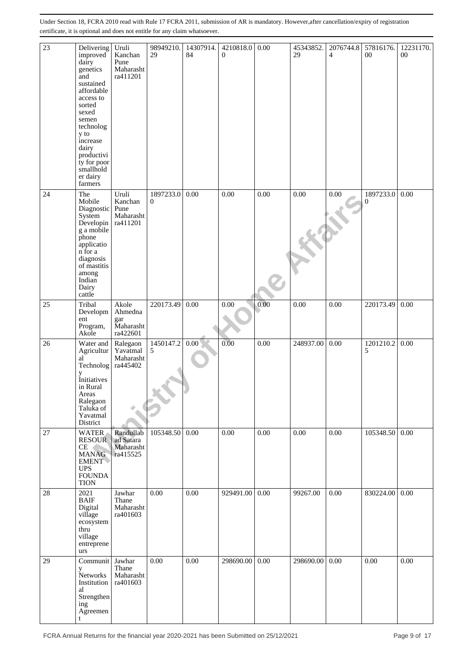| 23     | Delivering<br>improved<br>dairy<br>genetics<br>and<br>sustained<br>affordable<br>access to<br>sorted<br>sexed<br>semen<br>technolog<br>y to<br>increase<br>dairy<br>productivi<br>ty for poor<br>smallhold<br>er dairy<br>farmers | Uruli<br>Kanchan<br>Pune<br>Maharasht<br>ra411201 | 98949210.<br>29       | 14307914.<br>84 | 4210818.0<br>$\overline{0}$ | 0.00 | 45343852.<br>29 | 2076744.8<br>$\overline{4}$ | 57816176.<br>$00\,$ | 12231170.<br>$00\,$ |
|--------|-----------------------------------------------------------------------------------------------------------------------------------------------------------------------------------------------------------------------------------|---------------------------------------------------|-----------------------|-----------------|-----------------------------|------|-----------------|-----------------------------|---------------------|---------------------|
| 24     | The<br>Mobile<br>Diagnostic Pune<br>System<br>Developin<br>g a mobile<br>phone<br>applicatio<br>n for a<br>diagnosis<br>of mastitis<br>among<br>Indian<br>Dairy<br>cattle                                                         | Uruli<br>Kanchan<br>Maharasht<br>ra411201         | 1897233.0<br>$\Omega$ | 0.00            | 0.00                        | 0.00 | 0.00            | $0.00\,$                    | 1897233.0<br>0      | 0.00                |
| 25     | Tribal<br>Developm<br>ent<br>Program,<br>Akole                                                                                                                                                                                    | Akole<br>Ahmedna<br>gar<br>Maharasht<br>ra422601  | 220173.49             | 0.00            | 0.00                        | 0.00 | 0.00            | 0.00                        | 220173.49           | 0.00                |
| 26     | Water and<br>Agricultur<br>al<br>Technolog<br>y<br>Initiatives<br>in Rural<br>Areas<br>Ralegaon<br>Taluka of<br>Yavatmal<br>District                                                                                              | Ralegaon<br>Yavatmal<br>Maharasht<br>ra445402     | 1450147.2<br>5        | $0.00\,$        | 0.00                        | 0.00 | 248937.00       | 0.00                        | 1201210.2<br>5      | 0.00                |
| 27     | <b>WATER</b><br><b>RESOUR</b><br><b>CE</b><br><b>MANAG</b><br><b>EMENT</b><br><b>UPS</b><br><b>FOUNDA</b><br><b>TION</b>                                                                                                          | Randullab<br>ad Satara<br>Maharasht<br>ra415525   | 105348.50             | 0.00            | 0.00                        | 0.00 | 0.00            | 0.00                        | 105348.50           | 0.00                |
| $28\,$ | 2021<br><b>BAIF</b><br>Digital<br>village<br>ecosystem<br>thru<br>village<br>entreprene<br>urs                                                                                                                                    | Jawhar<br>Thane<br>Maharasht<br>ra401603          | 0.00                  | $0.00\,$        | 929491.00                   | 0.00 | 99267.00        | 0.00                        | 830224.00           | 0.00                |
| 29     | Communit<br>y<br>Networks<br>Institution<br>al<br>Strengthen<br>ing<br>Agreemen<br>t                                                                                                                                              | Jawhar<br>Thane<br>Maharasht<br>ra401603          | 0.00                  | $0.00\,$        | 298690.00                   | 0.00 | 298690.00       | 0.00                        | 0.00                | 0.00                |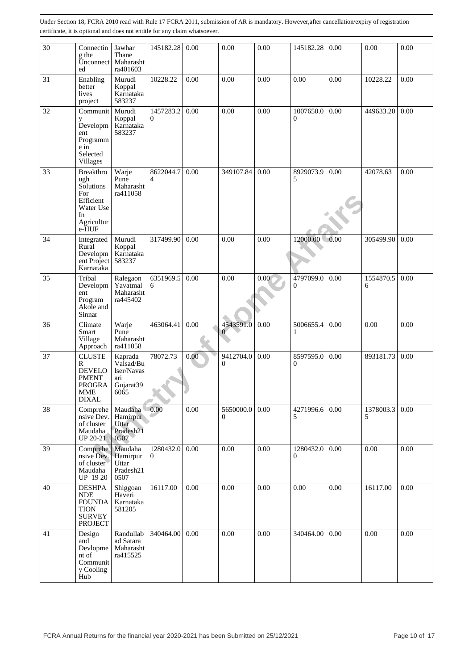| 30 | Connectin<br>g the<br>Unconnect<br>ed                                                              | Jawhar<br>Thane<br>Maharasht<br>ra401603                       | 145182.28                         | 0.00 | 0.00                        | 0.00 | 145182.28             | 0.00 | 0.00           | 0.00 |
|----|----------------------------------------------------------------------------------------------------|----------------------------------------------------------------|-----------------------------------|------|-----------------------------|------|-----------------------|------|----------------|------|
| 31 | Enabling<br>better<br>lives<br>project                                                             | Murudi<br>Koppal<br>Karnataka<br>583237                        | 10228.22                          | 0.00 | 0.00                        | 0.00 | 0.00                  | 0.00 | 10228.22       | 0.00 |
| 32 | Communit<br>y<br>Developm<br>ent<br>Programm<br>e in<br>Selected<br>Villages                       | Murudi<br>Koppal<br>Karnataka<br>583237                        | 1457283.2<br>0                    | 0.00 | 0.00                        | 0.00 | 1007650.0<br>$\Omega$ | 0.00 | 449633.20      | 0.00 |
| 33 | Breakthro<br>ugh<br>Solutions<br>For<br>Efficient<br>Water Use<br>In<br>Agricultur<br>e-HUF        | Warje<br>Pune<br>Maharasht<br>ra411058                         | 8622044.7<br>4                    | 0.00 | 349107.84                   | 0.00 | 8929073.9<br>5        | 0.00 | 42078.63       | 0.00 |
| 34 | Integrated<br>Rural<br>Developm<br>ent Project<br>Karnataka                                        | Murudi<br>Koppal<br>Karnataka<br>583237                        | 317499.90                         | 0.00 | 0.00                        | 0.00 | 12000.00              | 0.00 | 305499.90      | 0.00 |
| 35 | Tribal<br>Developm<br>ent<br>Program<br>Akole and<br>Sinnar                                        | Ralegaon<br>Yavatmal<br>Maharasht<br>ra445402                  | 6351969.5<br>6                    | 0.00 | 0.00                        | 0.00 | 4797099.0<br>0        | 0.00 | 1554870.5<br>6 | 0.00 |
| 36 | Climate<br>Smart<br>Village<br>Approach                                                            | Warje<br>Pune<br>Maharasht<br>ra411058                         | 463064.41                         | 0.00 | 4543591.0<br>$\overline{0}$ | 0.00 | 5006655.4<br>1        | 0.00 | 0.00           | 0.00 |
| 37 | <b>CLUSTE</b><br>R<br><b>DEVELO</b><br><b>PMENT</b><br><b>PROGRA</b><br><b>MME</b><br><b>DIXAL</b> | Kaprada<br>Valsad/Bu<br>lser/Navas<br>ari<br>Gujarat39<br>6065 | 78072.73<br><b>Australia</b><br>▼ | 0.00 | 9412704.0<br>0              | 0.00 | 8597595.0<br>$\theta$ | 0.00 | 893181.73      | 0.00 |
| 38 | Comprehe<br>nsive Dev.<br>of cluster<br>Maudaha<br><b>UP 20-21</b>                                 | Maudaha<br>Hamirpur<br>Uttar<br>Pradesh21<br>0507              | 0.00                              | 0.00 | 5650000.0<br>$\mathbf{0}$   | 0.00 | 4271996.6<br>5        | 0.00 | 1378003.3<br>5 | 0.00 |
| 39 | Comprehe<br>nsive Dev.<br>of cluster<br>Maudaha<br>UP 1920                                         | Maudaha<br>Hamirpur<br>Uttar<br>Pradesh21<br>0507              | 1280432.0<br>$\theta$             | 0.00 | 0.00                        | 0.00 | 1280432.0<br>$\Omega$ | 0.00 | 0.00           | 0.00 |
| 40 | <b>DESHPA</b><br><b>NDE</b><br><b>FOUNDA</b><br><b>TION</b><br><b>SURVEY</b><br><b>PROJECT</b>     | Shiggoan<br>Haveri<br>Karnataka<br>581205                      | 16117.00                          | 0.00 | 0.00                        | 0.00 | 0.00                  | 0.00 | 16117.00       | 0.00 |
| 41 | Design<br>and<br>Devlopme<br>nt of<br>Communit<br>y Cooling<br>Hub                                 | Randullab<br>ad Satara<br>Maharasht<br>ra415525                | 340464.00                         | 0.00 | 0.00                        | 0.00 | 340464.00             | 0.00 | 0.00           | 0.00 |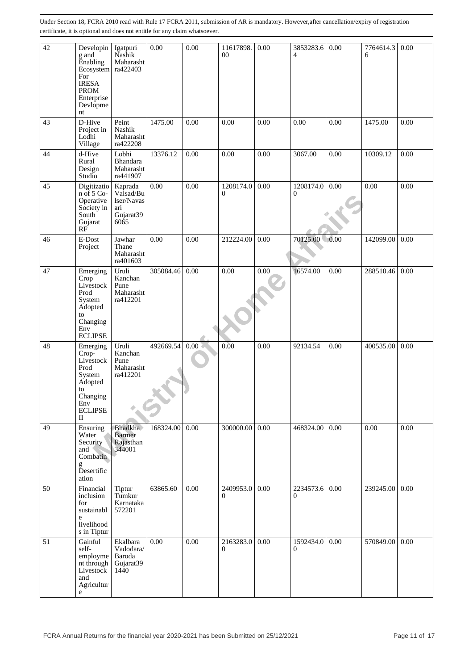| 42 | Developin<br>g and<br>Enabling<br>Ecosystem<br>For<br><b>IRESA</b><br><b>PROM</b><br>Enterprise<br>Devlopme<br>nt       | Igatpuri<br>Nashik<br>Maharasht<br>ra422403                    | 0.00      | 0.00     | 11617898.<br>00             | 0.00 | 3853283.6<br>$\overline{4}$ | 0.00 | 7764614.3<br>6 | 0.00 |
|----|-------------------------------------------------------------------------------------------------------------------------|----------------------------------------------------------------|-----------|----------|-----------------------------|------|-----------------------------|------|----------------|------|
| 43 | D-Hive<br>Project in<br>Lodhi<br>Village                                                                                | Peint<br>Nashik<br>Maharasht<br>ra422208                       | 1475.00   | 0.00     | 0.00                        | 0.00 | 0.00                        | 0.00 | 1475.00        | 0.00 |
| 44 | d-Hive<br>Rural<br>Design<br>Studio                                                                                     | Lobhi<br>Bhandara<br>Maharasht<br>ra441907                     | 13376.12  | 0.00     | 0.00                        | 0.00 | 3067.00                     | 0.00 | 10309.12       | 0.00 |
| 45 | Digitizatio<br>$n$ of 5 Co-<br>Operative<br>Society in<br>South<br>Gujarat<br>RF                                        | Kaprada<br>Valsad/Bu<br>lser/Navas<br>ari<br>Gujarat39<br>6065 | 0.00      | 0.00     | 1208174.0<br>0              | 0.00 | 1208174.0<br>$\overline{0}$ | 0.00 | 0.00           | 0.00 |
| 46 | E-Dost<br>Project                                                                                                       | Jawhar<br>Thane<br>Maharasht<br>ra401603                       | 0.00      | 0.00     | 212224.00                   | 0.00 | 70125.00                    | 0.00 | 142099.00      | 0.00 |
| 47 | Emerging<br>Crop<br>Livestock<br>Prod<br>System<br>Adopted<br>to<br>Changing<br>Env<br><b>ECLIPSE</b>                   | Uruli<br>Kanchan<br>Pune<br>Maharasht<br>ra412201              | 305084.46 | 0.00     | 0.00                        | 0.00 | 16574.00                    | 0.00 | 288510.46      | 0.00 |
| 48 | Emerging<br>$Crop-$<br>Livestock<br>Prod<br>System<br>Adopted<br>to<br>Changing<br>Env<br><b>ECLIPSE</b><br>$_{\rm II}$ | Uruli<br>Kanchan<br>Pune<br>Maharasht<br>ra412201              | 492669.54 | $0.00\,$ | 0.00                        | 0.00 | 92134.54                    | 0.00 | 400535.00      | 0.00 |
| 49 | Ensuring<br>Water<br>Security<br>and<br>Combatin<br>g<br>Desertific<br>ation                                            | <b>Bhadkha</b><br><b>Barmer</b><br>Rajasthan<br>344001         | 168324.00 | 0.00     | 300000.00                   | 0.00 | 468324.00                   | 0.00 | 0.00           | 0.00 |
| 50 | Financial<br>inclusion<br>for<br>sustainabl<br>e<br>livelihood<br>s in Tiptur                                           | Tiptur<br>Tumkur<br>Karnataka<br>572201                        | 63865.60  | $0.00\,$ | 2409953.0<br>$\overline{0}$ | 0.00 | 2234573.6<br>0              | 0.00 | 239245.00      | 0.00 |
| 51 | Gainful<br>self-<br>employme<br>nt through<br>Livestock<br>and<br>Agricultur<br>${\bf e}$                               | Ekalbara<br>Vadodara/<br>Baroda<br>Gujarat39<br>1440           | 0.00      | 0.00     | 2163283.0<br>$\theta$       | 0.00 | 1592434.0<br>$\overline{0}$ | 0.00 | 570849.00      | 0.00 |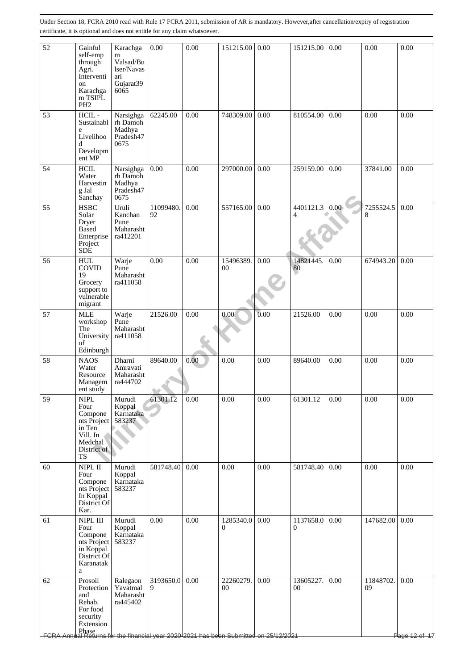| 52         | Gainful<br>self-emp<br>through<br>Agri.<br>Interventi<br>on<br>Karachga<br>m TSIPL<br>PH <sub>2</sub>      | Karachga<br>m<br>Valsad/Bu<br>lser/Navas<br>ari<br>Gujarat39<br>6065 | 0.00            | 0.00     | 151215.00                                                                                                  | 0.00 | 151215.00                   | 0.00     | 0.00            | 0.00               |
|------------|------------------------------------------------------------------------------------------------------------|----------------------------------------------------------------------|-----------------|----------|------------------------------------------------------------------------------------------------------------|------|-----------------------------|----------|-----------------|--------------------|
| 53         | HCIL-<br>Sustainabl<br>e<br>Livelihoo<br>d<br>Developm<br>ent MP                                           | Narsighga<br>rh Damoh<br>Madhya<br>Pradesh47<br>0675                 | 62245.00        | 0.00     | 748309.00                                                                                                  | 0.00 | 810554.00                   | 0.00     | 0.00            | 0.00               |
| 54         | $\rm HCIL$<br>Water<br>Harvestin<br>$\ensuremath{\mathbf{g}}$ Jal<br>Sanchay                               | Narsighga<br>rh Damoh<br>Madhya<br>Pradesh47<br>0675                 | 0.00            | 0.00     | 297000.00                                                                                                  | 0.00 | 259159.00                   | 0.00     | 37841.00        | 0.00               |
| 55         | <b>HSBC</b><br>Solar<br>Dryer<br>Based<br>Enterprise<br>Project<br><b>SDE</b>                              | Uruli<br>Kanchan<br>Pune<br>Maharasht<br>ra412201                    | 11099480.<br>92 | 0.00     | 557165.00                                                                                                  | 0.00 | 4401121.3<br>$\overline{4}$ | 0.00     | 7255524.5<br>8  | 0.00               |
| 56         | <b>HUL</b><br>COVID<br>19<br>Grocery<br>support to<br>vulnerable<br>migrant                                | Warje<br>Pune<br>Maharasht<br>ra411058                               | 0.00            | 0.00     | 15496389.<br>$00\,$                                                                                        | 0.00 | 14821445.<br>80             | 0.00     | 674943.20       | 0.00               |
| 57         | <b>MLE</b><br>workshop<br>The<br>University<br>of<br>Edinburgh                                             | Warje<br>Pune<br>Maharasht<br>ra411058                               | 21526.00        | 0.00     | 0.00                                                                                                       | 0.00 | 21526.00                    | 0.00     | 0.00            | 0.00               |
| 58         | <b>NAOS</b><br>Water<br>Resource<br>Managem<br>ent study                                                   | Dharni<br>Amravati<br>Maharasht<br>ra444702                          | 89640.00        | 0.00     | 0.00                                                                                                       | 0.00 | 89640.00                    | 0.00     | 0.00            | 0.00               |
| 59         | <b>NIPL</b><br>Four<br>Compone<br>nts Project<br>in Ten<br>Vill. In<br>Medchal<br>District of<br><b>TS</b> | Murudi<br>Koppal<br>Karnataka<br>583237                              | 61301.12        | 0.00     | 0.00                                                                                                       | 0.00 | 61301.12                    | 0.00     | 0.00            | 0.00               |
| 60         | NIPL II<br>Four<br>Compone<br>nts Project<br>In Koppal<br>District Of<br>Kar.                              | Murudi<br>Koppal<br>Karnataka<br>583237                              | 581748.40       | 0.00     | 0.00                                                                                                       | 0.00 | 581748.40                   | 0.00     | 0.00            | 0.00               |
| 61         | NIPL III<br>Four<br>Compone<br>nts Project<br>in Koppal<br>District Of<br>Karanatak<br>a                   | Murudi<br>Koppal<br>Karnataka<br>583237                              | 0.00            | $0.00\,$ | 1285340.0<br>$\theta$                                                                                      | 0.00 | 1137658.0<br>$\mathbf{0}$   | 0.00     | 147682.00       | 0.00               |
| 62<br>FCRA | Prosoil<br>Protection<br>and<br>Rehab.<br>For food<br>security<br>Extension                                | Ralegaon<br>Yavatmal<br>Maharasht<br>ra445402                        | 3193650.0<br>9  | 0.00     | 22260279.<br>00<br>Phase  <br>al Returns for the financial year 2020 2021 has been Submitted on 25/12/2021 | 0.00 | 13605227.<br>00             | $0.00\,$ | 11848702.<br>09 | 0.00<br>Page 12 of |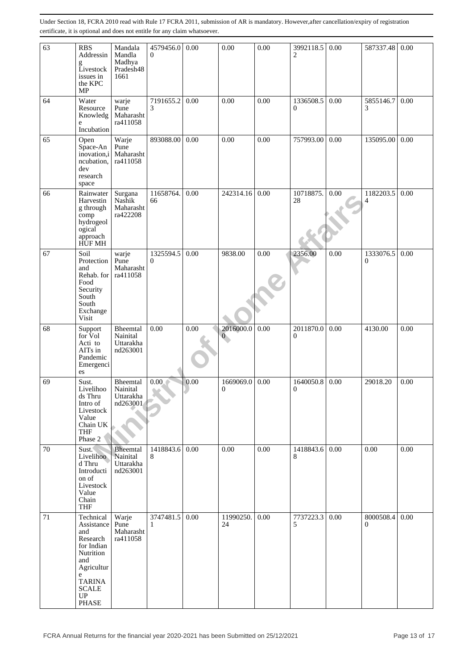| 63 | <b>RBS</b><br>Addressin<br>g<br>Livestock<br>issues in<br>the KPC<br>MP                              | Mandala<br>Mandla<br>Madhya<br>Pradesh48<br>1661 | 4579456.0<br>$\Omega$       | 0.00 | 0.00                      | 0.00 | 3992118.5<br>$\overline{c}$ | 0.00 | 587337.48      | 0.00 |
|----|------------------------------------------------------------------------------------------------------|--------------------------------------------------|-----------------------------|------|---------------------------|------|-----------------------------|------|----------------|------|
| 64 | Water<br>Resource<br>Knowledg<br>e<br>Incubation                                                     | warje<br>Pune<br>Maharasht<br>ra411058           | 7191655.2<br>3              | 0.00 | 0.00                      | 0.00 | 1336508.5<br>$\mathbf{0}$   | 0.00 | 5855146.7<br>3 | 0.00 |
| 65 | Open<br>Space-An<br>inovation,i<br>ncubation,<br>dev<br>research<br>space                            | Warje<br>Pune<br>Maharasht<br>ra411058           | 893088.00                   | 0.00 | 0.00                      | 0.00 | 757993.00                   | 0.00 | 135095.00      | 0.00 |
| 66 | Rainwater<br>Harvestin<br>g through<br>comp<br>hydrogeol<br>ogical<br>approach<br>HÙF MH             | Surgana<br>Nashik<br>Maharasht<br>ra422208       | 11658764.<br>66             | 0.00 | 242314.16                 | 0.00 | 10718875.<br>$28\,$         | 0.00 | 1182203.5<br>4 | 0.00 |
| 67 | Soil<br>Protection<br>and<br>Rehab. for<br>Food<br>Security<br>South<br>South<br>Exchange<br>Visit   | warje<br>Pune<br>Maharasht<br>ra411058           | 1325594.5<br>$\overline{0}$ | 0.00 | 9838.00                   | 0.00 | 2356.00                     | 0.00 | 1333076.5<br>0 | 0.00 |
| 68 | Support<br>for Vol<br>Acti to<br>AITs in<br>Pandemic<br>Emergenci<br>es                              | Bheemtal<br>Nainital<br>Uttarakha<br>nd263001    | 0.00                        | 0.00 | 2016000.0<br>$\mathbf{0}$ | 0.00 | 2011870.0<br>$\mathbf{0}$   | 0.00 | 4130.00        | 0.00 |
| 69 | Sust.<br>Livelihoo<br>ds Thru<br>Intro of<br>Livestock<br>Value<br>Chain UK<br><b>THF</b><br>Phase 2 | Bheemtal<br>Nainital<br>Uttarakha<br>nd263001    | 0.00<br>A.                  | 0.00 | 1669069.0<br>0            | 0.00 | 1640050.8<br>$\theta$       | 0.00 | 29018.20       | 0.00 |
| 70 | Sust.<br>Livelihoo<br>d Thru<br>Introducti<br>on of<br>Livestock<br>Value<br>Chain<br><b>THF</b>     | Bheemtal<br>Nainital<br>Uttarakha<br>nd263001    | 1418843.6<br>8              | 0.00 | 0.00                      | 0.00 | 1418843.6<br>8              | 0.00 | 0.00           | 0.00 |
| 71 | Technical<br>Assistance<br>and<br>Research<br>for Indian<br>Nutrition<br>and                         | Warje<br>Pune<br>Maharasht<br>ra411058           | 3747481.5<br>1              | 0.00 | 11990250.<br>24           | 0.00 | 7737223.3<br>5              | 0.00 | 8000508.4<br>0 | 0.00 |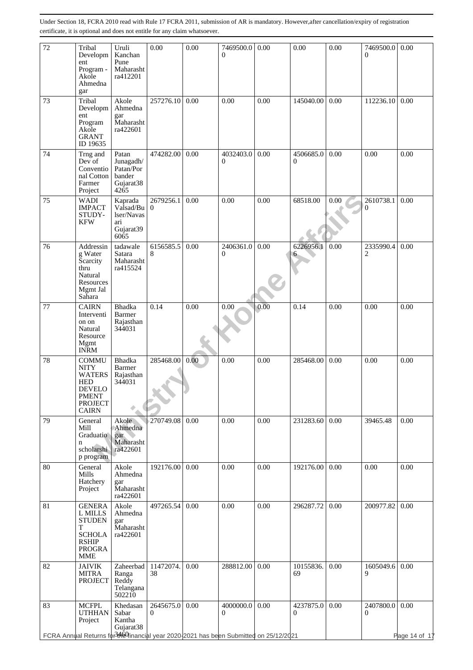| 72 | Tribal<br>Developm<br>ent<br>Program -<br>Akole<br>Ahmedna<br>gar                                                             | Uruli<br>Kanchan<br>Pune<br>Maharasht<br>ra412201                          | 0.00                  | 0.00 | 7469500.0<br>$\Omega$                                                                                          | 0.00 | 0.00                      | 0.00 | 7469500.0<br>$\Omega$     | 0.00                  |
|----|-------------------------------------------------------------------------------------------------------------------------------|----------------------------------------------------------------------------|-----------------------|------|----------------------------------------------------------------------------------------------------------------|------|---------------------------|------|---------------------------|-----------------------|
| 73 | Tribal<br>Developm<br>ent<br>Program<br>Akole<br><b>GRANT</b><br>ID 19635                                                     | Akole<br>Ahmedna<br>gar<br>Maharasht<br>ra422601                           | 257276.10             | 0.00 | 0.00                                                                                                           | 0.00 | 145040.00                 | 0.00 | 112236.10                 | 0.00                  |
| 74 | Trng and<br>Dev of<br>Conventio<br>nal Cotton<br>Farmer<br>Project                                                            | Patan<br>Junagadh/<br>Patan/Por<br>bander<br>Gujarat <sub>38</sub><br>4265 | 474282.00             | 0.00 | 4032403.0<br>$\overline{0}$                                                                                    | 0.00 | 4506685.0<br>$\mathbf{0}$ | 0.00 | 0.00                      | 0.00                  |
| 75 | <b>WADI</b><br><b>IMPACT</b><br>STUDY-<br><b>KFW</b>                                                                          | Kaprada<br>Valsad/Bu<br>lser/Navas<br>ari<br>Gujarat39<br>6065             | 2679256.1<br>$\Omega$ | 0.00 | 0.00                                                                                                           | 0.00 | 68518.00                  | 0.00 | 2610738.1<br>$\mathbf{0}$ | 0.00                  |
| 76 | Addressin<br>g Water<br>Scarcity<br>thru<br>Natural<br>Resources<br>Mgmt Jal<br>Sahara                                        | tadawale<br>Satara<br>Maharasht<br>ra415524                                | 6156585.5<br>8        | 0.00 | 2406361.0<br>$\mathbf{0}$                                                                                      | 0.00 | 6226956.1<br>6            | 0.00 | 2335990.4<br>2            | 0.00                  |
| 77 | <b>CAIRN</b><br>Interventi<br>on on<br>Natural<br>Resource<br>Mgmt<br><b>INRM</b>                                             | Bhadka<br>Barmer<br>Rajasthan<br>344031                                    | 0.14                  | 0.00 | 0.00                                                                                                           | 0.00 | 0.14                      | 0.00 | 0.00                      | 0.00                  |
| 78 | <b>COMMU</b><br><b>NITY</b><br><b>WATERS</b><br><b>HED</b><br><b>DEVELO</b><br><b>PMENT</b><br><b>PROJECT</b><br><b>CAIRN</b> | Bhadka<br>Barmer<br>Rajasthan<br>344031                                    | 285468.00             | 0.00 | 0.00                                                                                                           | 0.00 | 285468.00                 | 0.00 | 0.00                      | 0.00                  |
| 79 | General<br>Mill<br>Graduatio<br>$\mathbf n$<br>scholarshi<br>p program                                                        | Akole<br>Ahmedna<br>gar<br>Maharasht<br>ra422601                           | 270749.08             | 0.00 | 0.00                                                                                                           | 0.00 | 231283.60                 | 0.00 | 39465.48                  | 0.00                  |
| 80 | General<br>Mills<br>Hatchery<br>Project                                                                                       | Akole<br>Ahmedna<br>gar<br>Maharasht<br>ra422601                           | 192176.00             | 0.00 | 0.00                                                                                                           | 0.00 | 192176.00                 | 0.00 | 0.00                      | 0.00                  |
| 81 | <b>GENERA</b><br>L MILLS<br><b>STUDEN</b><br>T<br><b>SCHOLA</b><br><b>RSHIP</b><br><b>PROGRA</b><br><b>MME</b>                | Akole<br>Ahmedna<br>gar<br>Maharasht<br>ra422601                           | 497265.54             | 0.00 | 0.00                                                                                                           | 0.00 | 296287.72                 | 0.00 | 200977.82                 | 0.00                  |
| 82 | <b>JAIVIK</b><br><b>MITRA</b><br><b>PROJECT</b>                                                                               | Zaheerbad<br>Ranga<br>Reddy<br>Telangana<br>502210                         | 11472074.<br>38       | 0.00 | 288812.00                                                                                                      | 0.00 | 10155836.<br>69           | 0.00 | 1605049.6<br>9            | 0.00                  |
| 83 | <b>MCFPL</b><br><b>UTHHAN</b><br>Project                                                                                      | Khedasan<br>Sabar<br>Kantha<br>Gujarat38                                   | 2645675.0<br>$\Omega$ | 0.00 | 4000000.0<br>$\Omega$<br>FCRA Annual Returns for3the Ginancial year 2020-2021 has been Submitted on 25/12/2021 | 0.00 | 4237875.0<br>$\mathbf{0}$ | 0.00 | 2407800.0<br>0            | 0.00<br>Page 14 of 17 |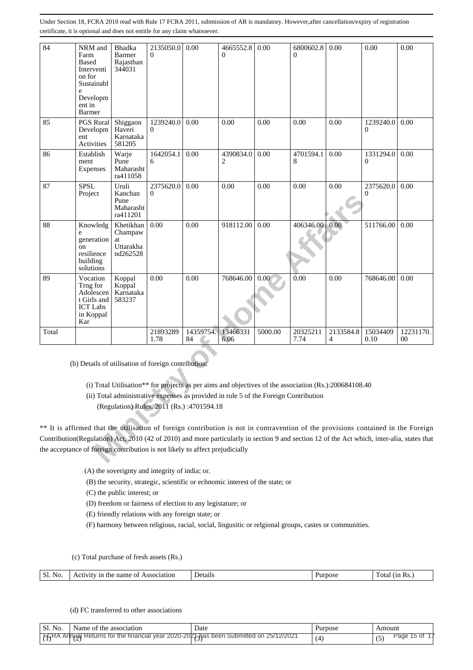| 84                                                                                                                                                                                                                                                                                                                                                               | NRM and<br>Farm<br>Based<br>Interventi<br>on for<br>Sustainabl<br>e<br>Developm<br>ent in<br><b>Barmer</b> | Bhadka<br>Barmer<br>Rajasthan<br>344031             | 2135050.0<br>$\Omega$                     | 0.00            | 4665552.8<br>0   | 0.00    | 6800602.8<br>0                                                                                                                                                                                | 0.00           | 0.00                        | 0.00            |
|------------------------------------------------------------------------------------------------------------------------------------------------------------------------------------------------------------------------------------------------------------------------------------------------------------------------------------------------------------------|------------------------------------------------------------------------------------------------------------|-----------------------------------------------------|-------------------------------------------|-----------------|------------------|---------|-----------------------------------------------------------------------------------------------------------------------------------------------------------------------------------------------|----------------|-----------------------------|-----------------|
| 85                                                                                                                                                                                                                                                                                                                                                               | PGS Rural<br>Developm<br>ent<br>Activities                                                                 | Shiggaon<br>Haveri<br>Karnataka<br>581205           | 1239240.0<br>0                            | 0.00            | 0.00             | 0.00    | 0.00                                                                                                                                                                                          | 0.00           | 1239240.0<br>$\theta$       | 0.00            |
| 86                                                                                                                                                                                                                                                                                                                                                               | Establish<br>ment<br><b>Expenses</b>                                                                       | Warje<br>Pune<br>Maharasht<br>ra411058              | 1642054.1<br>6                            | 0.00            | 4390834.0<br>2   | 0.00    | 4701594.1<br>8                                                                                                                                                                                | 0.00           | 1331294.0<br>$\mathbf{0}$   | 0.00            |
| 87                                                                                                                                                                                                                                                                                                                                                               | <b>SPSL</b><br>Project                                                                                     | Uruli<br>Kanchan<br>Pune<br>Maharasht<br>ra411201   | 2375620.0<br>0                            | 0.00            | 0.00             | 0.00    | 0.00                                                                                                                                                                                          | 0.00           | 2375620.0<br>$\overline{0}$ | 0.00            |
| 88                                                                                                                                                                                                                                                                                                                                                               | Knowledg<br>e<br>generation<br>on<br>resilience<br>building<br>solutions                                   | Khetikhan<br>Champaw<br>at<br>Uttarakha<br>nd262528 | 0.00                                      | 0.00            | 918112.00        | 0.00    | 406346.00                                                                                                                                                                                     | 0.00           | 511766.00                   | 0.00            |
| 89                                                                                                                                                                                                                                                                                                                                                               | Vocation<br>Trng for<br>Adolescen<br>t Girls and<br><b>ICT</b> Labs<br>in Koppal<br>Kar                    | Koppal<br>Koppal<br>Karnataka<br>583237             | 0.00                                      | 0.00            | 768646.00        | 0.00    | 0.00                                                                                                                                                                                          | 0.00           | 768646.00                   | 0.00            |
| Total                                                                                                                                                                                                                                                                                                                                                            |                                                                                                            |                                                     | 21893289<br>1.78                          | 14359754.<br>84 | 13466331<br>6.06 | 5000.00 | 20325211<br>7.74                                                                                                                                                                              | 2133584.8<br>4 | 15034409<br>0.10            | 12231170.<br>00 |
|                                                                                                                                                                                                                                                                                                                                                                  | (b) Details of utilisation of foreign contribution:                                                        |                                                     | (Regulation) Rules, 2011 (Rs.):4701594.18 |                 |                  |         | (i) Total Utilisation** for projects as per aims and objectives of the association (Rs.):200684108.40<br>(ii) Total administrative expenses as provided in rule 5 of the Foreign Contribution |                |                             |                 |
| ** It is affirmed that the utilisation of foreign contribution is not in contravention of the provisions contained in the Foreign<br>Contribution(Regulation) Act, 2010 (42 of 2010) and more particularly in section 9 and section 12 of the Act which, inter-alia, states that<br>the acceptance of foreign contribution is not likely to affect prejudicially |                                                                                                            |                                                     |                                           |                 |                  |         |                                                                                                                                                                                               |                |                             |                 |

(A) the soverignty and integrity of india; or.

(B) the security, strategic, scientific or echnomic interest of the state; or

(C) the public interest; or

(D) freedom or fairness of election to any legistature; or

(E) friendly relations with any foreign state; or

(F) harmony between religious, racial, social, lingusitic or relgional groups, castes or communities.

(c) Total purchase of fresh assets (Rs.)

|  | S<br>No | ssociation<br>n٤<br>ΩТ<br>• הר<br>пe<br>наг |  |  | ገt |
|--|---------|---------------------------------------------|--|--|----|
|--|---------|---------------------------------------------|--|--|----|

#### (d) FC transferred to other associations

| Sl.<br>No. | Name of the association                                         | ⊃ate                       | Purpose | Amount     |
|------------|-----------------------------------------------------------------|----------------------------|---------|------------|
| ∆ ש        | e financial vear 2020-2021 has been<br>Returns for the<br>nnual | on 25/12/2021<br>Submitted |         | Page<br>ΟŤ |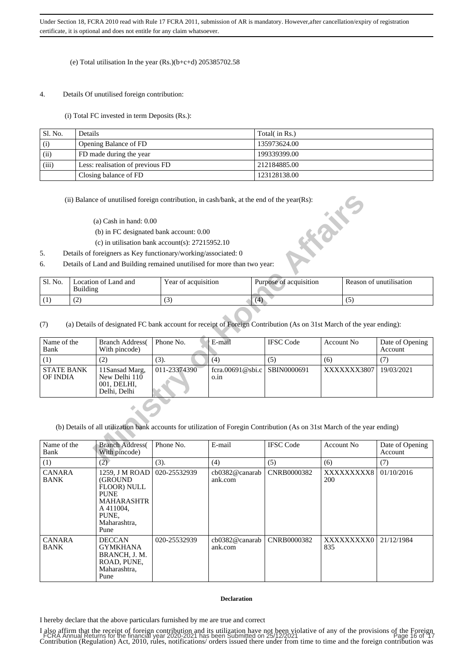### (e) Total utilisation In the year (Rs.)(b+c+d) 205385702.58

#### 4. Details Of unutilised foreign contribution:

(i) Total FC invested in term Deposits (Rs.):

| Sl. No. | <b>Details</b>                   | Total( in Rs.) |
|---------|----------------------------------|----------------|
| (i)     | Opening Balance of FD            | 135973624.00   |
| (ii)    | FD made during the year          | 199339399.00   |
| (iii)   | Less: realisation of previous FD | 212184885.00   |
|         | Closing balance of FD            | 123128138.00   |

- (a) Cash in hand: 0.00
- (b) in FC designated bank account: 0.00
- (c) in utilisation bank account(s): 27215952.10
- 5. Details of foreigners as Key functionary/working/associated: 0
- 6. Details of Land and Building remained unutilised for more than two year:

| Sl. No. | Location of Land and<br>Building | Year of acquisition | Purpose of acquisition | Reason of unutilisation |
|---------|----------------------------------|---------------------|------------------------|-------------------------|
|         | ے ،                              | $\sqrt{2}$<br>. .   |                        |                         |

|                               |                 | (ii) Balance of unutilised foreign contribution, in cash/bank, at the end of the year(Rs): |                     |                          | <b>SERIES</b>                                                                                                                            |                   |             |                            |
|-------------------------------|-----------------|--------------------------------------------------------------------------------------------|---------------------|--------------------------|------------------------------------------------------------------------------------------------------------------------------------------|-------------------|-------------|----------------------------|
|                               |                 | $(a)$ Cash in hand: $0.00$                                                                 |                     |                          |                                                                                                                                          |                   |             |                            |
|                               |                 | (b) in FC designated bank account: 0.00                                                    |                     |                          |                                                                                                                                          |                   |             |                            |
|                               |                 | (c) in utilisation bank account(s): $27215952.10$                                          |                     |                          |                                                                                                                                          |                   |             |                            |
| 5.                            |                 | Details of foreigners as Key functionary/working/associated: 0                             |                     |                          |                                                                                                                                          |                   |             |                            |
| 6.                            |                 | Details of Land and Building remained unutilised for more than two year:                   |                     |                          |                                                                                                                                          |                   |             |                            |
|                               |                 |                                                                                            |                     |                          |                                                                                                                                          |                   |             |                            |
| Sl. No.                       | <b>Building</b> | Location of Land and                                                                       | Year of acquisition |                          | Purpose of acquisition                                                                                                                   |                   |             | Reason of unutilisation    |
| (1)                           | (2)             |                                                                                            | (3)                 | (4)                      |                                                                                                                                          |                   | (5)         |                            |
| (7)<br>Name of the<br>Bank    |                 | <b>Branch Address</b><br>With pincode)                                                     | Phone No.           | E-mail                   | (a) Details of designated FC bank account for receipt of Foreign Contribution (As on 31st March of the year ending):<br><b>IFSC Code</b> | <b>Account No</b> |             | Date of Opening<br>Account |
| (1)                           |                 | (2)                                                                                        | (3).                | (4)                      | (5)                                                                                                                                      | (6)               |             | (7)                        |
| <b>STATE BANK</b><br>OF INDIA |                 | 11Sansad Marg,<br>New Delhi $110$<br>001, DELHI,<br>Delhi, Delhi                           | 011-23374390        | fcra.00691@sbi.c<br>o.in | SBIN0000691                                                                                                                              |                   | XXXXXXX3807 | 19/03/2021                 |
|                               |                 |                                                                                            |                     |                          | (b) Details of all utilization bank accounts for utilization of Foregin Contribution (As on 31st March of the year ending)               |                   |             |                            |
| Name of the<br>Bank           |                 | <b>Branch Address(</b><br>With pincode)                                                    | Phone No.           | E-mail                   | <b>IFSC Code</b>                                                                                                                         | <b>Account No</b> |             | Date of Opening<br>Account |
| (1)                           |                 | (2)                                                                                        | (3)                 | (4)                      | (5)                                                                                                                                      | (6)               |             | (7)                        |

| Name of the<br>Bank          | <b>Branch Address</b><br>With pincode)                                                                                        | Phone No.    | E-mail                    | <b>IFSC Code</b> | Account No.              | Date of Opening<br>Account |
|------------------------------|-------------------------------------------------------------------------------------------------------------------------------|--------------|---------------------------|------------------|--------------------------|----------------------------|
| (1)                          | (2)                                                                                                                           | (3).         | (4)                       | (5)              | (6)                      | (7)                        |
| <b>CANARA</b><br><b>BANK</b> | 1259, J M ROAD  <br>(GROUND)<br>FLOOR) NULL<br><b>PUNE</b><br><b>MAHARASHTR</b><br>A 411004,<br>PUNE.<br>Maharashtra.<br>Pune | 020-25532939 | cb0382@canarab<br>ank.com | CNRB0000382      | XXXXXXXXX8<br><b>200</b> | 01/10/2016                 |
| <b>CANARA</b><br><b>BANK</b> | <b>DECCAN</b><br><b>GYMKHANA</b><br>BRANCH, J. M.<br>ROAD, PUNE,<br>Maharashtra,<br>Pune                                      | 020-25532939 | cb0382@canarab<br>ank.com | CNRB0000382      | XXXXXXXXX0<br>835        | 21/12/1984                 |

#### **Declaration**

I hereby declare that the above particulars furnished by me are true and correct

I also affirm that the receipt of foreign contribution and its utilization have not been violative of any of the provisions of the Foreign FCRA Annual Returns for the financial year 2020-2021 has been Submitted on 25/12/2021<br>Contribution (Regulation) Act, 2010, rules, notifications/ orders issued there under from time to time and the foreign contribution was